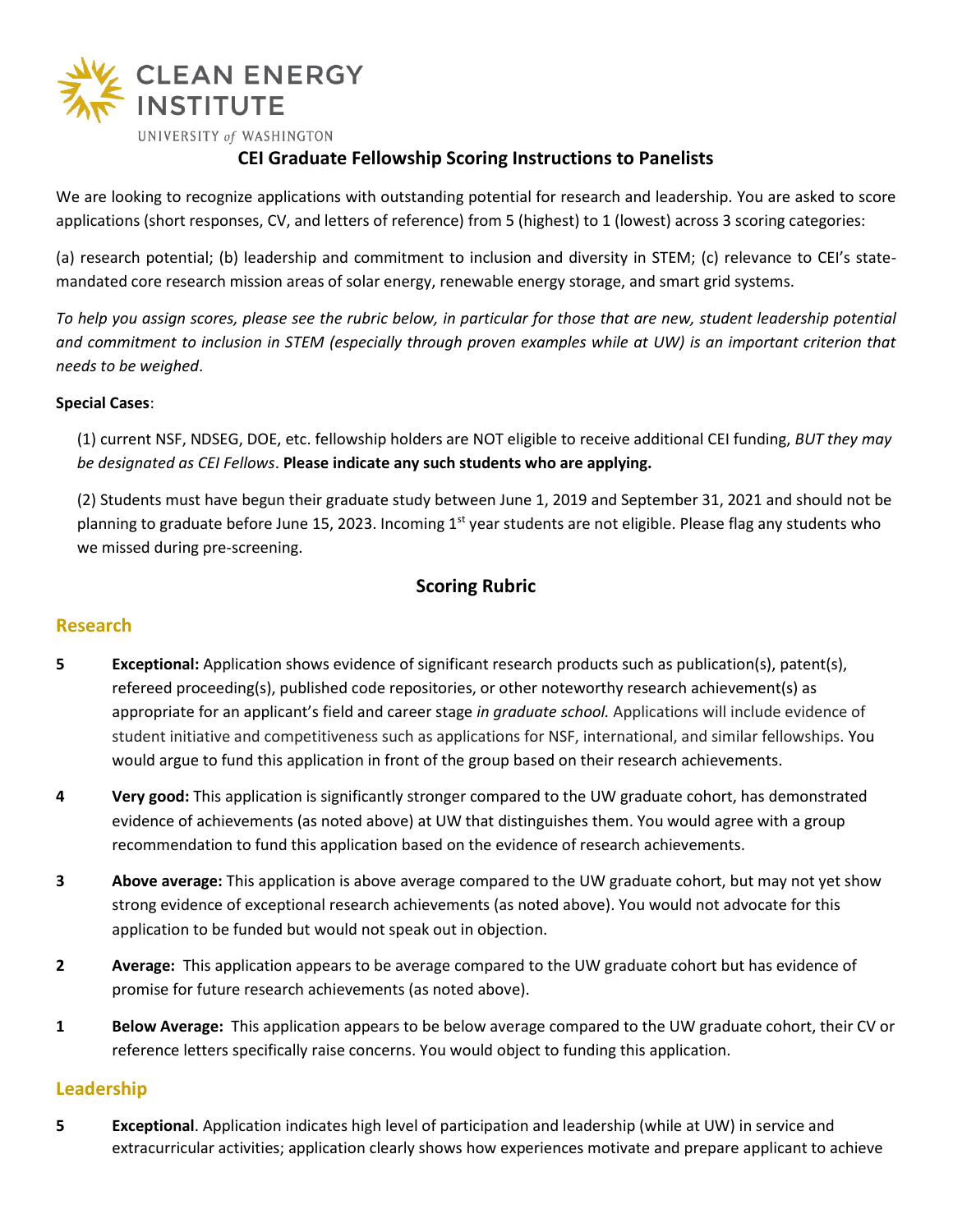

# **CEI Graduate Fellowship Scoring Instructions to Panelists**

We are looking to recognize applications with outstanding potential for research and leadership. You are asked to score applications (short responses, CV, and letters of reference) from 5 (highest) to 1 (lowest) across 3 scoring categories:

(a) research potential; (b) leadership and commitment to inclusion and diversity in STEM; (c) relevance to CEI's statemandated core research mission areas of solar energy, renewable energy storage, and smart grid systems.

*To help you assign scores, please see the rubric below, in particular for those that are new, student leadership potential*  and commitment to inclusion in STEM (especially through proven examples while at UW) is an important criterion that *needs to be weighed*.

#### **Special Cases**:

(1) current NSF, NDSEG, DOE, etc. fellowship holders are NOT eligible to receive additional CEI funding, *BUT they may be designated as CEI Fellows*. **Please indicate any such students who are applying.**

(2) Students must have begun their graduate study between June 1, 2019 and September 31, 2021 and should not be planning to graduate before June 15, 2023. Incoming 1<sup>st</sup> year students are not eligible. Please flag any students who we missed during pre-screening.

## **Scoring Rubric**

### **Research**

- **5 Exceptional:** Application shows evidence of significant research products such as publication(s), patent(s), refereed proceeding(s), published code repositories, or other noteworthy research achievement(s) as appropriate for an applicant's field and career stage *in graduate school.* Applications will include evidence of student initiative and competitiveness such as applications for NSF, international, and similar fellowships. You would argue to fund this application in front of the group based on their research achievements.
- **4 Very good:** This application is significantly stronger compared to the UW graduate cohort, has demonstrated evidence of achievements (as noted above) at UW that distinguishes them. You would agree with a group recommendation to fund this application based on the evidence of research achievements.
- **3 Above average:** This application is above average compared to the UW graduate cohort, but may not yet show strong evidence of exceptional research achievements (as noted above). You would not advocate for this application to be funded but would not speak out in objection.
- **2 Average:** This application appears to be average compared to the UW graduate cohort but has evidence of promise for future research achievements (as noted above).
- **1 Below Average:** This application appears to be below average compared to the UW graduate cohort, their CV or reference letters specifically raise concerns. You would object to funding this application.

### **Leadership**

**5 Exceptional**. Application indicates high level of participation and leadership (while at UW) in service and extracurricular activities; application clearly shows how experiences motivate and prepare applicant to achieve